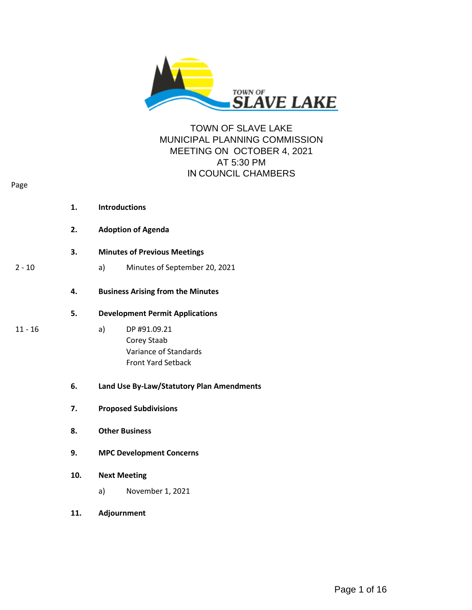

# TOWN OF SLAVE LAKE MUNICIPAL PLANNING COMMISSION MEETING ON OCTOBER 4, 2021 AT 5:30 PM IN COUNCIL CHAMBERS

| <b>Introductions</b> |  |
|----------------------|--|
|                      |  |

- **2. Adoption of Agenda**
- **3. Minutes of Previous Meetings**
- 2 10 a) Minutes of September 20, 2021
	- **4. Business Arising from the Minutes**
	- **5. Development Permit Applications**
- 
- 11 16 a) DP #91.09.21 Corey Staab Variance of Standards Front Yard Setback
	- **6. Land Use By-Law/Statutory Plan Amendments**
	- **7. Proposed Subdivisions**
	- **8. Other Business**
	- **9. MPC Development Concerns**

#### **10. Next Meeting**

- a) November 1, 2021
- **11. Adjournment**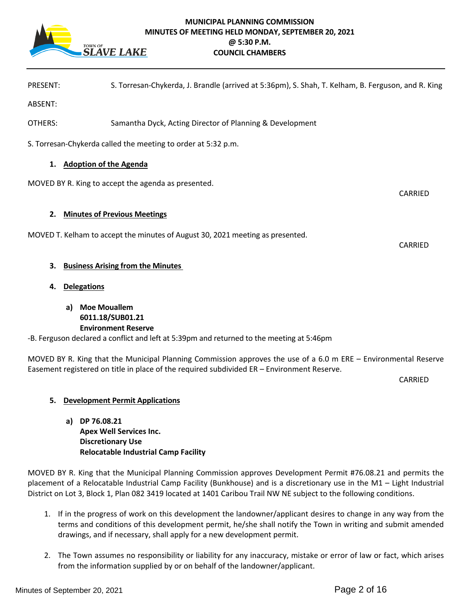

# **MUNICIPAL PLANNING COMMISSION MINUTES OF MEETING HELD MONDAY, SEPTEMBER 20, 2021 @ 5:30 P.M. COUNCIL CHAMBERS**

|  | <b>PRESENT:</b> | S. Torresan-Chykerda, J. Brandle (arrived at 5:36pm), S. Shah, T. Kelham, B. Ferguson, and R. King |  |
|--|-----------------|----------------------------------------------------------------------------------------------------|--|
|--|-----------------|----------------------------------------------------------------------------------------------------|--|

ABSENT:

OTHERS: Samantha Dyck, Acting Director of Planning & Development

S. Torresan-Chykerda called the meeting to order at 5:32 p.m.

#### **1. Adoption of the Agenda**

MOVED BY R. King to accept the agenda as presented.

**2. Minutes of Previous Meetings** 

MOVED T. Kelham to accept the minutes of August 30, 2021 meeting as presented.

#### **3. Business Arising from the Minutes**

**4. Delegations**

**a) Moe Mouallem 6011.18/SUB01.21 Environment Reserve**

-B. Ferguson declared a conflict and left at 5:39pm and returned to the meeting at 5:46pm

MOVED BY R. King that the Municipal Planning Commission approves the use of a 6.0 m ERE – Environmental Reserve Easement registered on title in place of the required subdivided ER – Environment Reserve.

CARRIED

CARRIED

CARRIED

#### **5. Development Permit Applications**

**a) DP 76.08.21 Apex Well Services Inc. Discretionary Use Relocatable Industrial Camp Facility** 

MOVED BY R. King that the Municipal Planning Commission approves Development Permit #76.08.21 and permits the placement of a Relocatable Industrial Camp Facility (Bunkhouse) and is a discretionary use in the M1 – Light Industrial District on Lot 3, Block 1, Plan 082 3419 located at 1401 Caribou Trail NW NE subject to the following conditions.

- 1. If in the progress of work on this development the landowner/applicant desires to change in any way from the terms and conditions of this development permit, he/she shall notify the Town in writing and submit amended drawings, and if necessary, shall apply for a new development permit.
- 2. The Town assumes no responsibility or liability for any inaccuracy, mistake or error of law or fact, which arises from the information supplied by or on behalf of the landowner/applicant.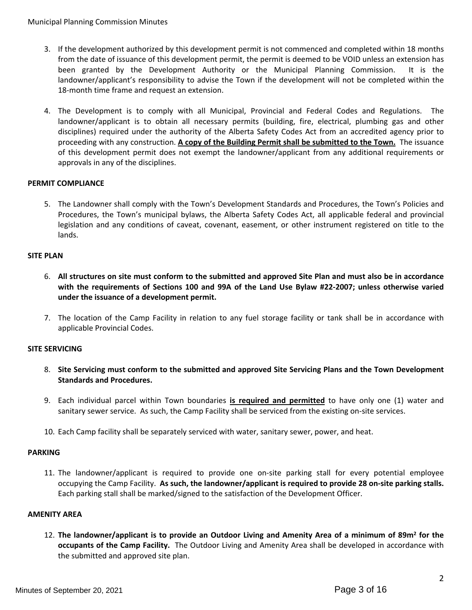- 3. If the development authorized by this development permit is not commenced and completed within 18 months from the date of issuance of this development permit, the permit is deemed to be VOID unless an extension has been granted by the Development Authority or the Municipal Planning Commission. It is the landowner/applicant's responsibility to advise the Town if the development will not be completed within the 18-month time frame and request an extension.
- 4. The Development is to comply with all Municipal, Provincial and Federal Codes and Regulations. The landowner/applicant is to obtain all necessary permits (building, fire, electrical, plumbing gas and other disciplines) required under the authority of the Alberta Safety Codes Act from an accredited agency prior to proceeding with any construction. **A copy of the Building Permit shall be submitted to the Town.** The issuance of this development permit does not exempt the landowner/applicant from any additional requirements or approvals in any of the disciplines.

# **PERMIT COMPLIANCE**

5. The Landowner shall comply with the Town's Development Standards and Procedures, the Town's Policies and Procedures, the Town's municipal bylaws, the Alberta Safety Codes Act, all applicable federal and provincial legislation and any conditions of caveat, covenant, easement, or other instrument registered on title to the lands.

# **SITE PLAN**

- 6. **All structures on site must conform to the submitted and approved Site Plan and must also be in accordance with the requirements of Sections 100 and 99A of the Land Use Bylaw #22-2007; unless otherwise varied under the issuance of a development permit.**
- 7. The location of the Camp Facility in relation to any fuel storage facility or tank shall be in accordance with applicable Provincial Codes.

#### **SITE SERVICING**

- 8. **Site Servicing must conform to the submitted and approved Site Servicing Plans and the Town Development Standards and Procedures.**
- 9. Each individual parcel within Town boundaries **is required and permitted** to have only one (1) water and sanitary sewer service. As such, the Camp Facility shall be serviced from the existing on-site services.
- 10. Each Camp facility shall be separately serviced with water, sanitary sewer, power, and heat.

#### **PARKING**

11. The landowner/applicant is required to provide one on-site parking stall for every potential employee occupying the Camp Facility. **As such, the landowner/applicant is required to provide 28 on-site parking stalls.** Each parking stall shall be marked/signed to the satisfaction of the Development Officer.

#### **AMENITY AREA**

12. **The landowner/applicant is to provide an Outdoor Living and Amenity Area of a minimum of 89m<sup>2</sup> for the occupants of the Camp Facility.** The Outdoor Living and Amenity Area shall be developed in accordance with the submitted and approved site plan.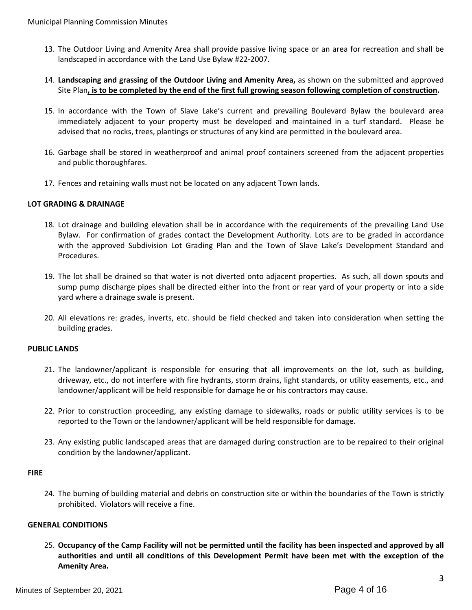- 13. The Outdoor Living and Amenity Area shall provide passive living space or an area for recreation and shall be landscaped in accordance with the Land Use Bylaw #22-2007.
- 14. **Landscaping and grassing of the Outdoor Living and Amenity Area,** as shown on the submitted and approved Site Plan**, is to be completed by the end of the first full growing season following completion of construction.**
- 15. In accordance with the Town of Slave Lake's current and prevailing Boulevard Bylaw the boulevard area immediately adjacent to your property must be developed and maintained in a turf standard. Please be advised that no rocks, trees, plantings or structures of any kind are permitted in the boulevard area.
- 16. Garbage shall be stored in weatherproof and animal proof containers screened from the adjacent properties and public thoroughfares.
- 17. Fences and retaining walls must not be located on any adjacent Town lands.

# **LOT GRADING & DRAINAGE**

- 18. Lot drainage and building elevation shall be in accordance with the requirements of the prevailing Land Use Bylaw. For confirmation of grades contact the Development Authority. Lots are to be graded in accordance with the approved Subdivision Lot Grading Plan and the Town of Slave Lake's Development Standard and Procedures.
- 19. The lot shall be drained so that water is not diverted onto adjacent properties. As such, all down spouts and sump pump discharge pipes shall be directed either into the front or rear yard of your property or into a side yard where a drainage swale is present.
- 20. All elevations re: grades, inverts, etc. should be field checked and taken into consideration when setting the building grades.

#### **PUBLIC LANDS**

- 21. The landowner/applicant is responsible for ensuring that all improvements on the lot, such as building, driveway, etc., do not interfere with fire hydrants, storm drains, light standards, or utility easements, etc., and landowner/applicant will be held responsible for damage he or his contractors may cause.
- 22. Prior to construction proceeding, any existing damage to sidewalks, roads or public utility services is to be reported to the Town or the landowner/applicant will be held responsible for damage.
- 23. Any existing public landscaped areas that are damaged during construction are to be repaired to their original condition by the landowner/applicant.

#### **FIRE**

24. The burning of building material and debris on construction site or within the boundaries of the Town is strictly prohibited. Violators will receive a fine.

#### **GENERAL CONDITIONS**

25. **Occupancy of the Camp Facility will not be permitted until the facility has been inspected and approved by all authorities and until all conditions of this Development Permit have been met with the exception of the Amenity Area.**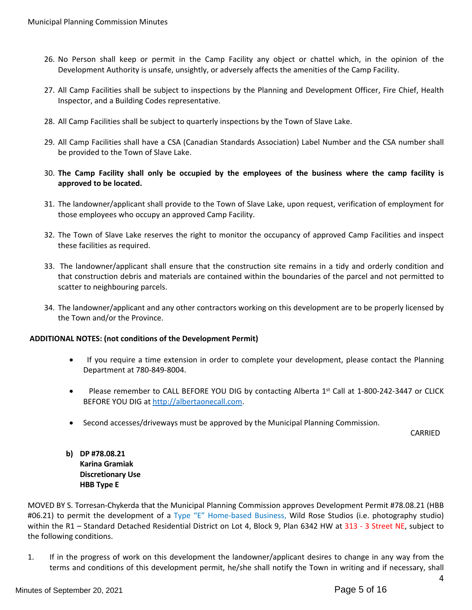- 26. No Person shall keep or permit in the Camp Facility any object or chattel which, in the opinion of the Development Authority is unsafe, unsightly, or adversely affects the amenities of the Camp Facility.
- 27. All Camp Facilities shall be subject to inspections by the Planning and Development Officer, Fire Chief, Health Inspector, and a Building Codes representative.
- 28. All Camp Facilities shall be subject to quarterly inspections by the Town of Slave Lake.
- 29. All Camp Facilities shall have a CSA (Canadian Standards Association) Label Number and the CSA number shall be provided to the Town of Slave Lake.
- 30. **The Camp Facility shall only be occupied by the employees of the business where the camp facility is approved to be located.**
- 31. The landowner/applicant shall provide to the Town of Slave Lake, upon request, verification of employment for those employees who occupy an approved Camp Facility.
- 32. The Town of Slave Lake reserves the right to monitor the occupancy of approved Camp Facilities and inspect these facilities as required.
- 33. The landowner/applicant shall ensure that the construction site remains in a tidy and orderly condition and that construction debris and materials are contained within the boundaries of the parcel and not permitted to scatter to neighbouring parcels.
- 34. The landowner/applicant and any other contractors working on this development are to be properly licensed by the Town and/or the Province.

#### **ADDITIONAL NOTES: (not conditions of the Development Permit)**

- If you require a time extension in order to complete your development, please contact the Planning Department at 780-849-8004.
- Please remember to CALL BEFORE YOU DIG by contacting Alberta  $1<sup>st</sup>$  Call at 1-800-242-3447 or CLICK BEFORE YOU DIG at [http://albertaonecall.com](http://albertaonecall.com/).
- Second accesses/driveways must be approved by the Municipal Planning Commission.

CARRIED

**b) DP #78.08.21 Karina Gramiak Discretionary Use HBB Type E**

MOVED BY S. Torresan-Chykerda that the Municipal Planning Commission approves Development Permit #78.08.21 (HBB #06.21) to permit the development of a Type "E" Home-based Business, Wild Rose Studios (i.e. photography studio) within the R1 – Standard Detached Residential District on Lot 4, Block 9, Plan 6342 HW at 313 - 3 Street NE, subject to the following conditions.

1. If in the progress of work on this development the landowner/applicant desires to change in any way from the terms and conditions of this development permit, he/she shall notify the Town in writing and if necessary, shall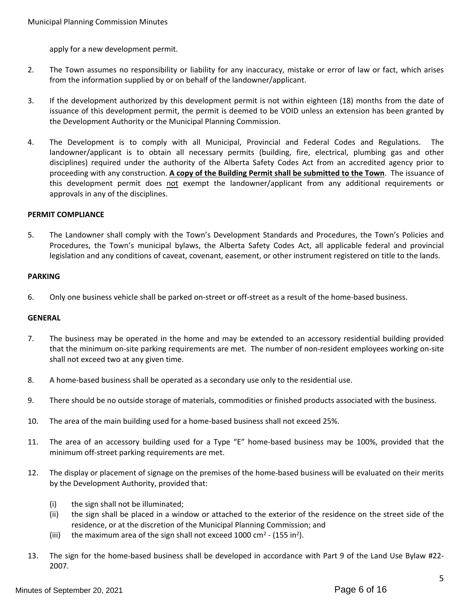apply for a new development permit.

- 2. The Town assumes no responsibility or liability for any inaccuracy, mistake or error of law or fact, which arises from the information supplied by or on behalf of the landowner/applicant.
- 3. If the development authorized by this development permit is not within eighteen (18) months from the date of issuance of this development permit, the permit is deemed to be VOID unless an extension has been granted by the Development Authority or the Municipal Planning Commission.
- 4. The Development is to comply with all Municipal, Provincial and Federal Codes and Regulations. The landowner/applicant is to obtain all necessary permits (building, fire, electrical, plumbing gas and other disciplines) required under the authority of the Alberta Safety Codes Act from an accredited agency prior to proceeding with any construction. **A copy of the Building Permit shall be submitted to the Town**. The issuance of this development permit does not exempt the landowner/applicant from any additional requirements or approvals in any of the disciplines.

#### **PERMIT COMPLIANCE**

5. The Landowner shall comply with the Town's Development Standards and Procedures, the Town's Policies and Procedures, the Town's municipal bylaws, the Alberta Safety Codes Act, all applicable federal and provincial legislation and any conditions of caveat, covenant, easement, or other instrument registered on title to the lands.

#### **PARKING**

6. Only one business vehicle shall be parked on-street or off-street as a result of the home-based business.

#### **GENERAL**

- 7. The business may be operated in the home and may be extended to an accessory residential building provided that the minimum on-site parking requirements are met. The number of non-resident employees working on-site shall not exceed two at any given time.
- 8. A home-based business shall be operated as a secondary use only to the residential use.
- 9. There should be no outside storage of materials, commodities or finished products associated with the business.
- 10. The area of the main building used for a home-based business shall not exceed 25%.
- 11. The area of an accessory building used for a Type "E" home-based business may be 100%, provided that the minimum off-street parking requirements are met.
- 12. The display or placement of signage on the premises of the home-based business will be evaluated on their merits by the Development Authority, provided that:
	- (i) the sign shall not be illuminated;
	- (ii) the sign shall be placed in a window or attached to the exterior of the residence on the street side of the residence, or at the discretion of the Municipal Planning Commission; and
	- (iii) the maximum area of the sign shall not exceed  $1000 \text{ cm}^2$  (155 in<sup>2</sup>).
- 13. The sign for the home-based business shall be developed in accordance with Part 9 of the Land Use Bylaw #22- 2007.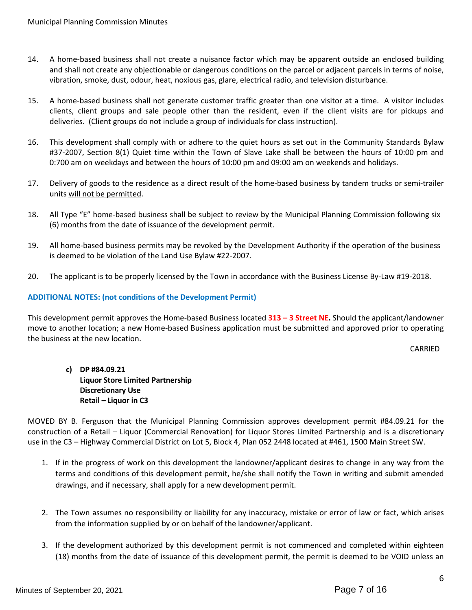- 14. A home-based business shall not create a nuisance factor which may be apparent outside an enclosed building and shall not create any objectionable or dangerous conditions on the parcel or adjacent parcels in terms of noise, vibration, smoke, dust, odour, heat, noxious gas, glare, electrical radio, and television disturbance.
- 15. A home-based business shall not generate customer traffic greater than one visitor at a time. A visitor includes clients, client groups and sale people other than the resident, even if the client visits are for pickups and deliveries. (Client groups do not include a group of individuals for class instruction).
- 16. This development shall comply with or adhere to the quiet hours as set out in the Community Standards Bylaw #37-2007, Section 8(1) Quiet time within the Town of Slave Lake shall be between the hours of 10:00 pm and 0:700 am on weekdays and between the hours of 10:00 pm and 09:00 am on weekends and holidays.
- 17. Delivery of goods to the residence as a direct result of the home-based business by tandem trucks or semi-trailer units will not be permitted.
- 18. All Type "E" home-based business shall be subject to review by the Municipal Planning Commission following six (6) months from the date of issuance of the development permit.
- 19. All home-based business permits may be revoked by the Development Authority if the operation of the business is deemed to be violation of the Land Use Bylaw #22-2007.
- 20. The applicant is to be properly licensed by the Town in accordance with the Business License By-Law #19-2018.

# **ADDITIONAL NOTES: (not conditions of the Development Permit)**

This development permit approves the Home-based Business located **313 – 3 Street NE.** Should the applicant/landowner move to another location; a new Home-based Business application must be submitted and approved prior to operating the business at the new location.

CARRIED

# **c) DP #84.09.21 Liquor Store Limited Partnership Discretionary Use Retail – Liquor in C3**

MOVED BY B. Ferguson that the Municipal Planning Commission approves development permit #84.09.21 for the construction of a Retail – Liquor (Commercial Renovation) for Liquor Stores Limited Partnership and is a discretionary use in the C3 – Highway Commercial District on Lot 5, Block 4, Plan 052 2448 located at #461, 1500 Main Street SW.

- 1. If in the progress of work on this development the landowner/applicant desires to change in any way from the terms and conditions of this development permit, he/she shall notify the Town in writing and submit amended drawings, and if necessary, shall apply for a new development permit.
- 2. The Town assumes no responsibility or liability for any inaccuracy, mistake or error of law or fact, which arises from the information supplied by or on behalf of the landowner/applicant.
- 3. If the development authorized by this development permit is not commenced and completed within eighteen (18) months from the date of issuance of this development permit, the permit is deemed to be VOID unless an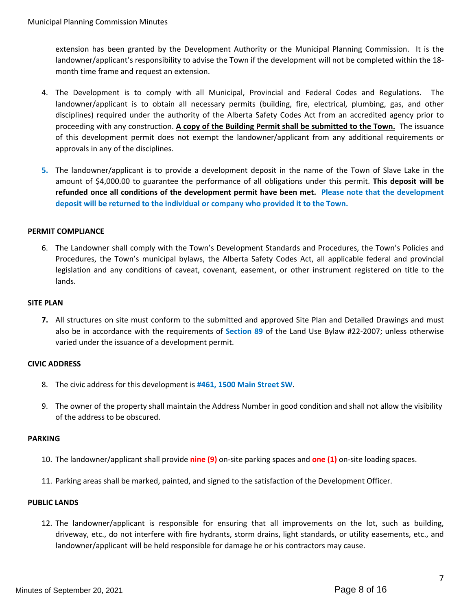extension has been granted by the Development Authority or the Municipal Planning Commission. It is the landowner/applicant's responsibility to advise the Town if the development will not be completed within the 18 month time frame and request an extension.

- 4. The Development is to comply with all Municipal, Provincial and Federal Codes and Regulations. The landowner/applicant is to obtain all necessary permits (building, fire, electrical, plumbing, gas, and other disciplines) required under the authority of the Alberta Safety Codes Act from an accredited agency prior to proceeding with any construction. **A copy of the Building Permit shall be submitted to the Town.** The issuance of this development permit does not exempt the landowner/applicant from any additional requirements or approvals in any of the disciplines.
- **5.** The landowner/applicant is to provide a development deposit in the name of the Town of Slave Lake in the amount of \$4,000.00 to guarantee the performance of all obligations under this permit. **This deposit will be refunded once all conditions of the development permit have been met. Please note that the development deposit will be returned to the individual or company who provided it to the Town.**

#### **PERMIT COMPLIANCE**

6. The Landowner shall comply with the Town's Development Standards and Procedures, the Town's Policies and Procedures, the Town's municipal bylaws, the Alberta Safety Codes Act, all applicable federal and provincial legislation and any conditions of caveat, covenant, easement, or other instrument registered on title to the lands.

#### **SITE PLAN**

**7.** All structures on site must conform to the submitted and approved Site Plan and Detailed Drawings and must also be in accordance with the requirements of **Section 89** of the Land Use Bylaw #22-2007; unless otherwise varied under the issuance of a development permit.

#### **CIVIC ADDRESS**

- 8. The civic address for this development is **#461, 1500 Main Street SW**.
- 9. The owner of the property shall maintain the Address Number in good condition and shall not allow the visibility of the address to be obscured.

#### **PARKING**

- 10. The landowner/applicant shall provide **nine (9)** on-site parking spaces and **one (1)** on-site loading spaces.
- 11. Parking areas shall be marked, painted, and signed to the satisfaction of the Development Officer.

#### **PUBLIC LANDS**

12. The landowner/applicant is responsible for ensuring that all improvements on the lot, such as building, driveway, etc., do not interfere with fire hydrants, storm drains, light standards, or utility easements, etc., and landowner/applicant will be held responsible for damage he or his contractors may cause.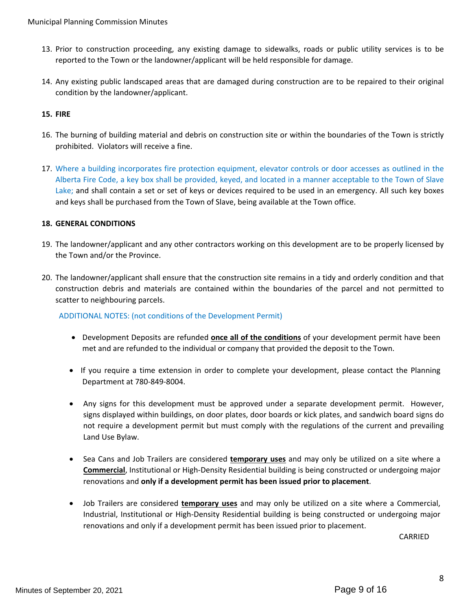- 13. Prior to construction proceeding, any existing damage to sidewalks, roads or public utility services is to be reported to the Town or the landowner/applicant will be held responsible for damage.
- 14. Any existing public landscaped areas that are damaged during construction are to be repaired to their original condition by the landowner/applicant.

# **15. FIRE**

- 16. The burning of building material and debris on construction site or within the boundaries of the Town is strictly prohibited. Violators will receive a fine.
- 17. Where a building incorporates fire protection equipment, elevator controls or door accesses as outlined in the Alberta Fire Code, a key box shall be provided, keyed, and located in a manner acceptable to the Town of Slave Lake; and shall contain a set or set of keys or devices required to be used in an emergency. All such key boxes and keys shall be purchased from the Town of Slave, being available at the Town office.

#### **18. GENERAL CONDITIONS**

- 19. The landowner/applicant and any other contractors working on this development are to be properly licensed by the Town and/or the Province.
- 20. The landowner/applicant shall ensure that the construction site remains in a tidy and orderly condition and that construction debris and materials are contained within the boundaries of the parcel and not permitted to scatter to neighbouring parcels.

# ADDITIONAL NOTES: (not conditions of the Development Permit)

- Development Deposits are refunded **once all of the conditions** of your development permit have been met and are refunded to the individual or company that provided the deposit to the Town.
- If you require a time extension in order to complete your development, please contact the Planning Department at 780-849-8004.
- Any signs for this development must be approved under a separate development permit. However, signs displayed within buildings, on door plates, door boards or kick plates, and sandwich board signs do not require a development permit but must comply with the regulations of the current and prevailing Land Use Bylaw.
- Sea Cans and Job Trailers are considered **temporary uses** and may only be utilized on a site where a **Commercial**, Institutional or High-Density Residential building is being constructed or undergoing major renovations and **only if a development permit has been issued prior to placement**.
- Job Trailers are considered **temporary uses** and may only be utilized on a site where a Commercial, Industrial, Institutional or High-Density Residential building is being constructed or undergoing major renovations and only if a development permit has been issued prior to placement.

CARRIED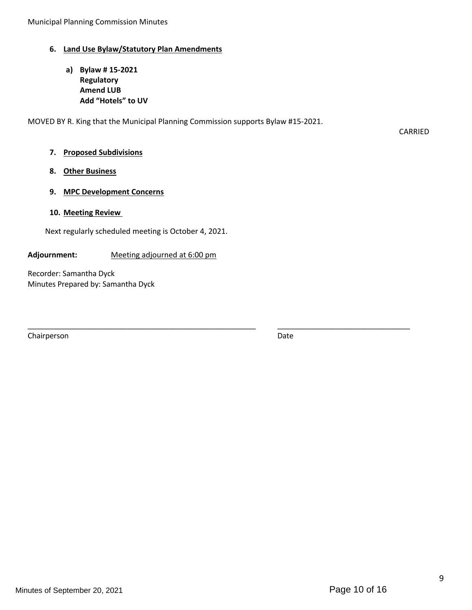# **6. Land Use Bylaw/Statutory Plan Amendments**

**a) Bylaw # 15-2021 Regulatory Amend LUB Add "Hotels" to UV**

MOVED BY R. King that the Municipal Planning Commission supports Bylaw #15-2021.

CARRIED

#### **7. Proposed Subdivisions**

#### **8. Other Business**

#### **9. MPC Development Concerns**

#### **10. Meeting Review**

Next regularly scheduled meeting is October 4, 2021.

#### **Adjournment:** Meeting adjourned at 6:00 pm

Recorder: Samantha Dyck Minutes Prepared by: Samantha Dyck

Chairperson Date

\_\_\_\_\_\_\_\_\_\_\_\_\_\_\_\_\_\_\_\_\_\_\_\_\_\_\_\_\_\_\_\_\_\_\_\_\_\_\_\_\_\_\_\_\_\_\_\_\_\_\_\_\_\_\_ \_\_\_\_\_\_\_\_\_\_\_\_\_\_\_\_\_\_\_\_\_\_\_\_\_\_\_\_\_\_\_\_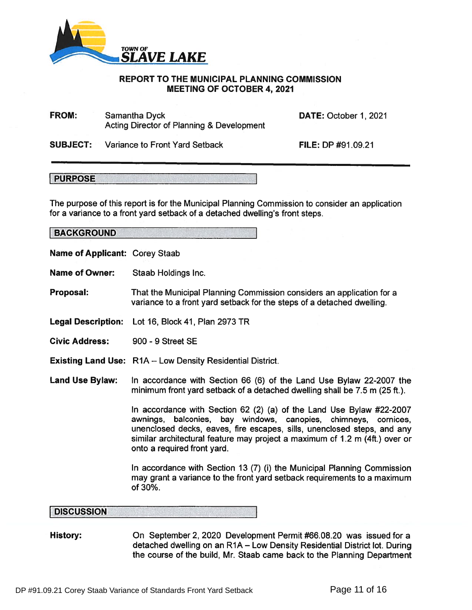

#### REPORT TO THE MUNICIPAL PLANNING COMMISSION MEETING OF OCTOBER 4, 2021

FROM: Samantha Dyck Acting Director of Planning & Development DATE: October 1, 2021

SUBJECT: Variance to Front Yard Setback

**FILE: DP #91.09.21** 

**PURPOSE** 

The purpose of this repor<sup>t</sup> is for the Municipal Planning Commission to consider an application for <sup>a</sup> variance to <sup>a</sup> front yard setback of <sup>a</sup> detached dwelling's front steps.

**BACKGROUND** 

- Name of Applicant: Corey Staab
- Name of Owner: Staab Holdings Inc.

Proposal: That the Municipal Planning Commission considers an application for <sup>a</sup> variance to <sup>a</sup> front yard setback for the steps of <sup>a</sup> detached dwelling.

- Legal Description: Lot 16, Block 41, Plan 2973 TR
- Civic Address: 900 9 Street SE
- Existing Land Use: R1A Low Density Residential District.
- Land Use Bylaw: In accordance with Section 66 (6) of the Land Use Bylaw 22-2007 the minimum front yard setback of <sup>a</sup> detached dwelling shall be 7.5 <sup>m</sup> (25 ft.).

In accordance with Section 62 (2) (a) of the Land Use Bylaw #22-2007 awnings, balconies, bay windows, canopies, chimneys, cornices, unenclosed decks, eaves, fire escapes, sills, unenclosed steps, and any similar architectural feature may project <sup>a</sup> maximum of 1.2 <sup>m</sup> (4ft.) over or onto <sup>a</sup> required front yard.

In accordance with Section 13 (7) (i) the Municipal Planning Commission may gran<sup>t</sup> <sup>a</sup> variance to the front yard setback requirements to <sup>a</sup> maximum of 30%.

#### **DISCUSSION**

History: Chicaptember 2, 2020 Development Permit #66.08.20 was issued for a detached dwelling on an R1A — Low Density Residential District lot. During the course of the build, Mr. Staab came back to the Planning Department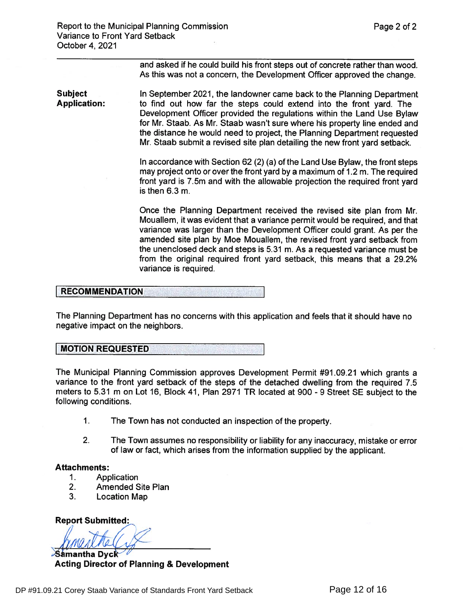and asked if he could build his front steps out of concrete rather than wood. As this was not <sup>a</sup> concern, the Development Officer approved the change.

Subject In September 2021, the landowner came back to the Planning Department<br> **Application:** The to find out how far the steps could extend into the front vard. The to find out how far the steps could extend into the front yard. The Development Officer provided the regulations within the Land Use Bylaw for Mr. Staab. As Mr. Staab wasn't sure where his property line ended and the distance he would need to project, the Planning Department requested Mr. Staab submit <sup>a</sup> revised site plan detailing the new front yard setback.

> In accordance with Section 62 (2) (a) of the Land Use Bylaw, the front steps may project onto or over the front yard by <sup>a</sup> maximum of 1.2 m. The required front yard is 7.5m and with the allowable projection the required front yard is then 6.3 m

> Once the Planning Department received the revised site plan from Mr. Mouallem, it was evident that <sup>a</sup> variance permit would be required, and that variance was larger than the Development Officer could grant. As per the amended site plan by Moe Mouallem, the revised front yard setback from the unenclosed deck and steps is 5.31 m. As <sup>a</sup> requested variance must be from the original required front yard setback, this means that <sup>a</sup> 29.2% variance is required.

#### RECOMMENDATION

The Planning Department has no concerns with this application and feels that it should have no negative impact on the neighbors.

#### MOTION

The Municipal Planning Commission approves Development Permit #91.09.21 which grants <sup>a</sup> variance to the front yard setback of the steps of the detached dwelling from the required 7.5 meters to 5.31 m on Lot 16, Block 41, Plan 2971 TR located at 900-9 Street SE subject to the following conditions.

- 1.The Town has not conducted an inspection of the property.
- 2. The Town assumes no responsibility or liability for any inaccuracy, mistake or error of law or fact, which arises from the information supplied by the applicant.

#### Attachments:

- 1.Application
- 2.Amended Site Plan
- 3.Location Map

Report Submitted:

 $\sim$ Samantha Dyck $\sim$ Acting Director of Planning & Development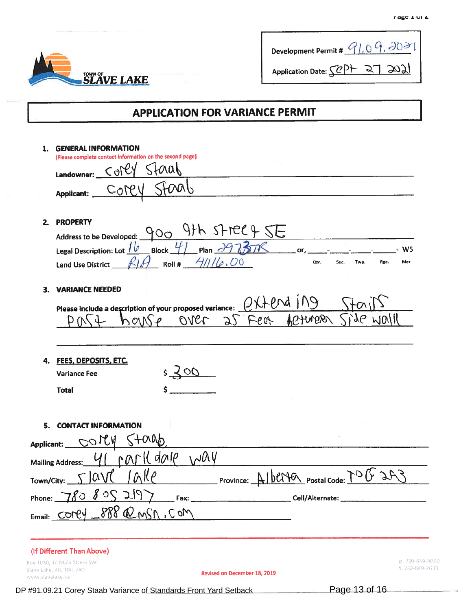| <b>SLAVE LAKE</b> |
|-------------------|

|                   | <b>LORG T OI</b>                 |
|-------------------|----------------------------------|
|                   |                                  |
|                   | Development Permit #             |
| <b>SLAVE LAKE</b> | 51,207<br>Application Date: SCP+ |

# j APPLICATION FOR VARIANCE PERMIT

| 1.               | <b>GENERAL INFORMATION</b>                                                     |
|------------------|--------------------------------------------------------------------------------|
|                  | (Please complete contact information on the second page)<br>51001              |
|                  | $C_0$ PCY<br>Landowner:                                                        |
|                  | COPHI<br>Applicant:                                                            |
|                  |                                                                                |
| 2.               | <b>PROPERTY</b>                                                                |
|                  | Address to be Developed: 900 9th Street 9 5E                                   |
|                  | Legal Description: Lot $16$ Block $41$ Plan $39737$ or,<br>W <sub>5</sub>      |
|                  | Roll # $411/e.00$<br>Qtr.<br>Mer<br>Sec.<br>Twp.<br>Rge.<br>Land Use District_ |
|                  |                                                                                |
| 3.               | <b>VARIANCE NEEDED</b>                                                         |
|                  | Please include a description of your proposed variance: $Q\chi + \theta \chi$  |
|                  | ADTURBA<br>$\partial \mathcal{S}'$<br>over 25 Fear<br>WOIH<br>MOIN             |
|                  |                                                                                |
|                  |                                                                                |
| 4.               | <b>FEES, DEPOSITS, ETC.</b>                                                    |
|                  | $5 - 500$<br><b>Variance Fee</b>                                               |
|                  | <b>Total</b>                                                                   |
|                  |                                                                                |
|                  |                                                                                |
| 5.               | <b>CONTACT INFORMATION</b>                                                     |
| Applicant:       | $\overline{\mathcal{O}}$ ICV                                                   |
|                  | 10000000001)<br>PAT<br><b>Mailing Address:</b>                                 |
|                  | $\alpha$                                                                       |
| Town/City:       | Province:                                                                      |
|                  |                                                                                |
|                  | Email: COPEY _ 888 @ MSN, COM                                                  |
|                  |                                                                                |
|                  |                                                                                |
|                  | (If Different Than Above)<br>p. 780-849-8000<br>Box 1030, 10 Main Street SW    |
|                  | 1.780-849-2633<br>Slave Lake, AB, TOG 2AO<br>Revised on December 18, 2019      |
| www.slavelake.ca |                                                                                |

DP #91.09.21 Corey Staab Variance of Standards Front Yard Setback Page 13 of 16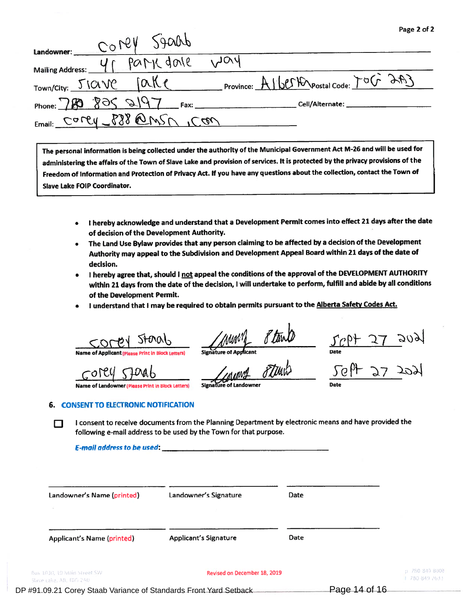|                                                                             | Page 2 of 2 |
|-----------------------------------------------------------------------------|-------------|
| CONCY SADRA<br>Landowner:                                                   |             |
| MOL<br>park dole<br>Mailing Address:                                        |             |
| Province: Albert Prostal Code: TOG 2003<br>JQK<br>Town/City: <u>JICIV</u> C |             |
| Phone: 780 805 2197<br>Fax:<br>Cell/Alternate:                              |             |
| Email: Carey 888 @MSN 1COM                                                  |             |

The persona<sup>l</sup> information is being collected under the authority of the Municipal Government Act M-26 and will be used for administering the affairs of the Town of Slave Lake and provision of services. It is protected by the privacy provisions of the Freedom of Information and Protection of Privacy Act. If you have any questions about the collection, contact the Town of Slave Lake FOIP Coordinator.

- $\bullet$  I hereby acknowledge and understand that a Development Permit comes into effect 21 days after the date of decision of the Development Authority.
- The Land Use Bylaw provides that any person claiming to be affected by <sup>a</sup> decision of the Development Authority may appea<sup>l</sup> to the Subdivision and Development Appeal Board within <sup>21</sup> days of the date of decision.
- I hereby agree that, should I not appeal the conditions of the approval of the DEVELOPMENT AUTHORITY within <sup>21</sup> days from the date of the decision, <sup>I</sup> will undertake to perform, fulfill and abide by all conditions of the Development Permit.
- •I understand that I may be required to obtain permits pursuant to the Alberta Safety Codes Act.

Storab

Namee ot

Namee of Landowner ( (Please Print in Block Letters) S**ignatūre of Landowner** Parte Date of Date of Landowner Parte of Landowner Date of Date of Landowner Parte of Landowner Parte of Landowner Parte of Landowner Parte of Landowner Parte of L

 $\frac{1}{\sqrt{C}}$   $\frac{1}{\sqrt{C}}$   $\frac{1}{\sqrt{C}}$   $\frac{1}{\sqrt{C}}$   $\frac{1}{\sqrt{C}}$   $\frac{1}{\sqrt{C}}$   $\frac{1}{\sqrt{C}}$   $\frac{1}{\sqrt{C}}$   $\frac{1}{\sqrt{C}}$   $\frac{1}{\sqrt{C}}$   $\frac{1}{\sqrt{C}}$   $\frac{1}{\sqrt{C}}$   $\frac{1}{\sqrt{C}}$   $\frac{1}{\sqrt{C}}$   $\frac{1}{\sqrt{C}}$   $\frac{1}{\sqrt{C}}$   $\frac{1}{\sqrt{C}}$ 

#### 6. CONSENT TO ELECTRONIC NOTIFICATION

I consent to receive documents from the Planning Department by electronic means and have provided the following e-mail address to be used by the Town for that purpose.

E-mail address to be used:

| Landowner's Name (printed)                           | Landowner's Signature        | Date |                                  |
|------------------------------------------------------|------------------------------|------|----------------------------------|
| <b>Applicant's Name (printed)</b>                    | <b>Applicant's Signature</b> | Date |                                  |
| ox 1030, 10 Main Street SW<br>lave Lake, AB, TOG 2A0 | Revised on December 18, 2019 |      | p 790 849 8000<br>1 780-849 2633 |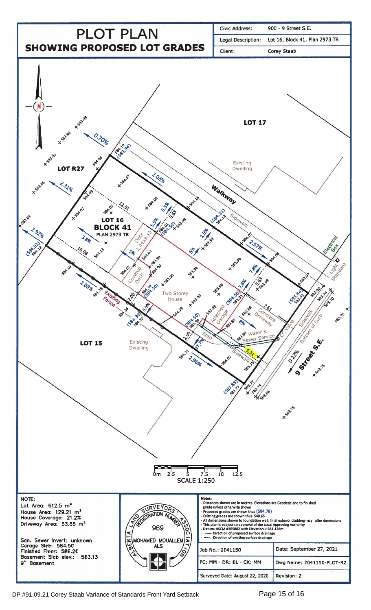

DP #91.09.21 Corey Staab Variance of Standards Front Yard Setback Page 15 of 16